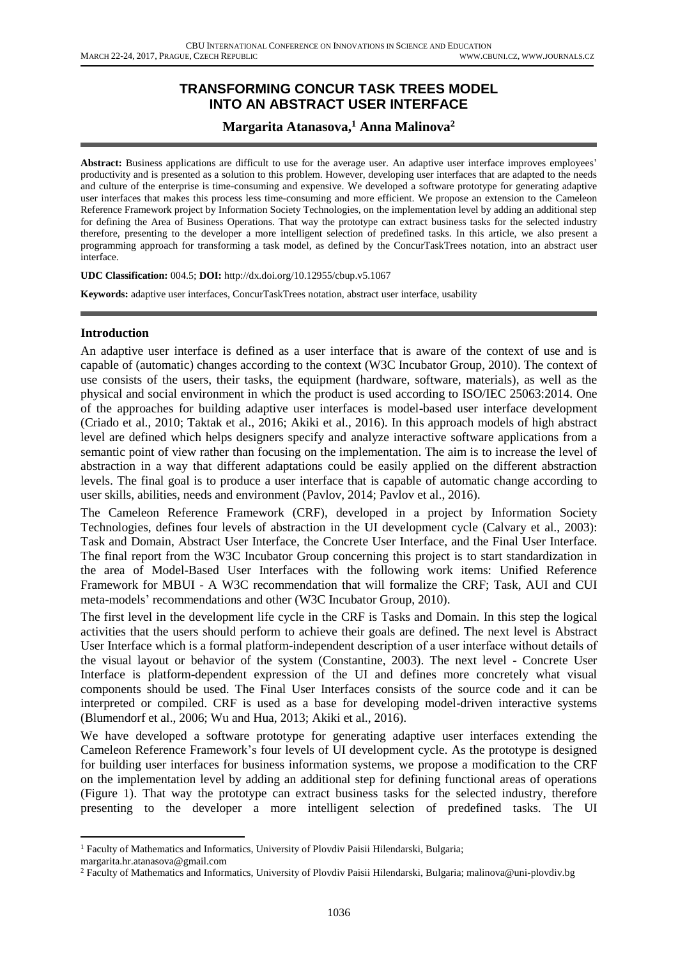# **TRANSFORMING CONCUR TASK TREES MODEL INTO AN ABSTRACT USER INTERFACE**

## **Margarita Atanasova, <sup>1</sup> Anna Malinova<sup>2</sup>**

**Abstract:** Business applications are difficult to use for the average user. An adaptive user interface improves employees' productivity and is presented as a solution to this problem. However, developing user interfaces that are adapted to the needs and culture of the enterprise is time-consuming and expensive. We developed a software prototype for generating adaptive user interfaces that makes this process less time-consuming and more efficient. We propose an extension to the Cameleon Reference Framework project by Information Society Technologies, on the implementation level by adding an additional step for defining the Area of Business Operations. That way the prototype can extract business tasks for the selected industry therefore, presenting to the developer a more intelligent selection of predefined tasks. In this article, we also present a programming approach for transforming a task model, as defined by the ConcurTaskTrees notation, into an abstract user interface.

**UDC Classification:** 004.5; **DOI:** http://dx.doi.org/10.12955/cbup.v5.1067

**Keywords:** adaptive user interfaces, ConcurTaskTrees notation, abstract user interface, usability

#### **Introduction**

An adaptive user interface is defined as a user interface that is aware of the context of use and is capable of (automatic) changes according to the context (W3C Incubator Group, 2010). The context of use consists of the users, their tasks, the equipment (hardware, software, materials), as well as the physical and social environment in which the product is used according to ISO/IEC 25063:2014. One of the approaches for building adaptive user interfaces is model-based user interface development (Criado et al., 2010; Taktak et al., 2016; Akiki et al., 2016). In this approach models of high abstract level are defined which helps designers specify and analyze interactive software applications from a semantic point of view rather than focusing on the implementation. The aim is to increase the level of abstraction in a way that different adaptations could be easily applied on the different abstraction levels. The final goal is to produce a user interface that is capable of automatic change according to user skills, abilities, needs and environment (Pavlov, 2014; Pavlov et al., 2016).

The Cameleon Reference Framework (CRF), developed in а project by Information Society Technologies, defines four levels of abstraction in the UI development cycle (Calvary et al., 2003): Task and Domain, Abstract User Interface, the Concrete User Interface, and the Final User Interface. The final report from the W3C Incubator Group concerning this project is to start standardization in the area of Model-Based User Interfaces with the following work items: Unified Reference Framework for MBUI - A W3C recommendation that will formalize the CRF; Task, AUI and CUI meta-models' recommendations and other (W3C Incubator Group, 2010).

The first level in the development life cycle in the CRF is Tasks and Domain. In this step the logical activities that the users should perform to achieve their goals are defined. The next level is Abstract User Interface which is a formal platform-independent description of а user interface without details of the visual layout or behavior of the system (Constantine, 2003). The next level - Concrete User Interface is platform-dependent expression of the UI and defines more concretely what visual components should be used. The Final User Interfaces consists of the source code and it can be interpreted or compiled. CRF is used as a base for developing model-driven interactive systems (Blumendorf et al., 2006; Wu and Hua, 2013; Akiki et al., 2016).

We have developed a software prototype for generating adaptive user interfaces extending the Cameleon Reference Framework's four levels of UI development cycle. As the prototype is designed for building user interfaces for business information systems, we propose a modification to the CRF on the implementation level by adding an additional step for defining functional areas of operations (Figure 1). That way the prototype can extract business tasks for the selected industry, therefore presenting to the developer a more intelligent selection of predefined tasks. The UI

**<sup>.</sup>** <sup>1</sup> Faculty of Mathematics and Informatics, University of Plovdiv Paisii Hilendarski, Bulgaria;

margarita.hr.atanasova@gmail.com

<sup>2</sup> Faculty of Mathematics and Informatics, University of Plovdiv Paisii Hilendarski, Bulgaria; malinova@uni-plovdiv.bg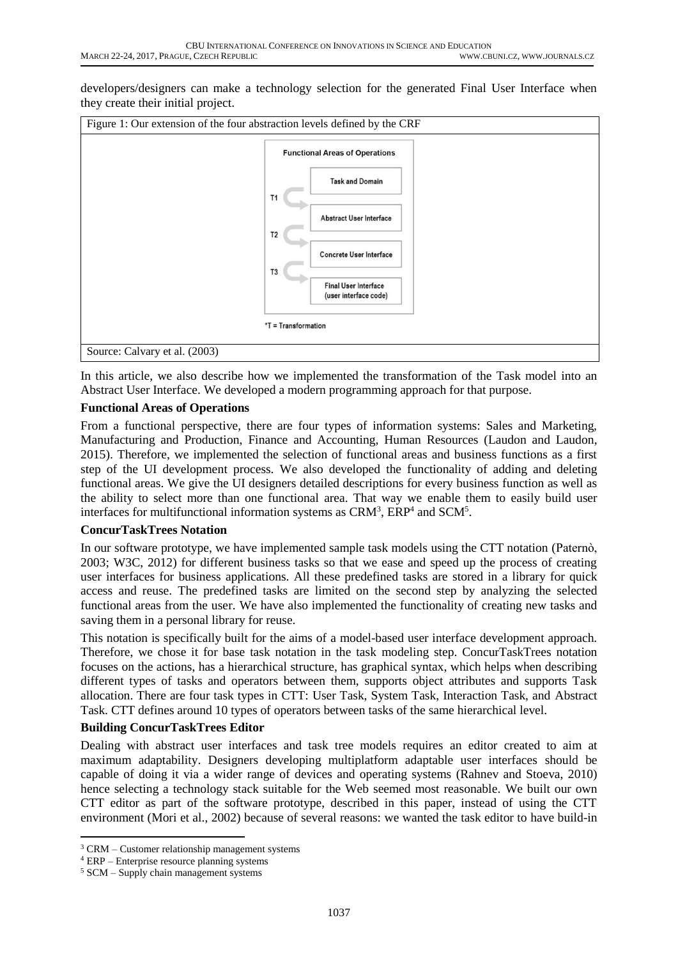developers/designers can make a technology selection for the generated Final User Interface when they create their initial project.



In this article, we also describe how we implemented the transformation of the Task model into an Abstract User Interface. We developed a modern programming approach for that purpose.

### **Functional Areas of Operations**

From a functional perspective, there are four types of information systems: Sales and Marketing, Manufacturing and Production, Finance and Accounting, Human Resources (Laudon and Laudon, 2015). Therefore, we implemented the selection of functional areas and business functions as a first step of the UI development process. We also developed the functionality of adding and deleting functional areas. We give the UI designers detailed descriptions for every business function as well as the ability to select more than one functional area. That way we enable them to easily build user interfaces for multifunctional information systems as  $CRM<sup>3</sup>$ ,  $ERP<sup>4</sup>$  and  $SCM<sup>5</sup>$ .

#### **ConcurTaskTrees Notation**

In our software prototype, we have implemented sample task models using the CTT notation (Paternò, 2003; W3C, 2012) for different business tasks so that we ease and speed up the process of creating user interfaces for business applications. All these predefined tasks are stored in a library for quick access and reuse. The predefined tasks are limited on the second step by analyzing the selected functional areas from the user. We have also implemented the functionality of creating new tasks and saving them in a personal library for reuse.

This notation is specifically built for the aims of a model-based user interface development approach. Therefore, we chose it for base task notation in the task modeling step. ConcurTaskTrees notation focuses on the actions, has a hierarchical structure, has graphical syntax, which helps when describing different types of tasks and operators between them, supports object attributes and supports Task allocation. There are four task types in CTT: User Task, System Task, Interaction Task, and Abstract Task. CTT defines around 10 types of operators between tasks of the same hierarchical level.

### **Building ConcurTaskTrees Editor**

Dealing with abstract user interfaces and task tree models requires an editor created to aim at maximum adaptability. Designers developing multiplatform adaptable user interfaces should be capable of doing it via a wider range of devices and operating systems (Rahnev and Stoeva, 2010) hence selecting a technology stack suitable for the Web seemed most reasonable. We built our own CTT editor as part of the software prototype, described in this paper, instead of using the CTT environment (Mori et al., 2002) because of several reasons: we wanted the task editor to have build-in

**.** 

<sup>3</sup> CRM – Customer relationship management systems

<sup>4</sup> ERP – Enterprise resource planning systems

<sup>5</sup> SCM – Supply chain management systems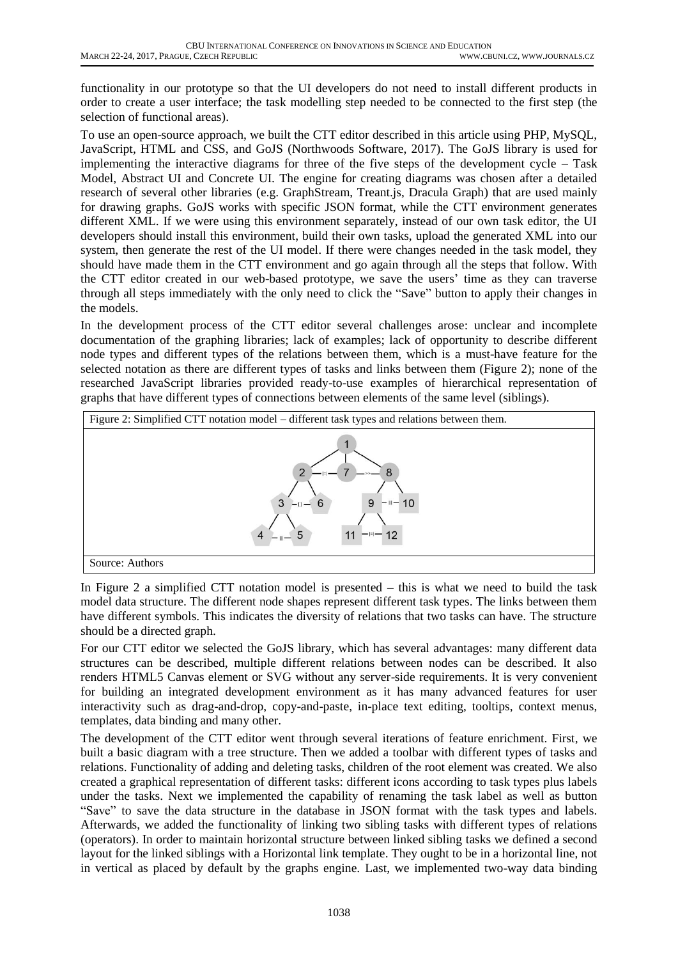functionality in our prototype so that the UI developers do not need to install different products in order to create a user interface; the task modelling step needed to be connected to the first step (the selection of functional areas).

To use an open-source approach, we built the CTT editor described in this article using PHP, MySQL, JavaScript, HTML and CSS, and GoJS (Northwoods Software, 2017). The GoJS library is used for implementing the interactive diagrams for three of the five steps of the development cycle – Task Model, Abstract UI and Concrete UI. The engine for creating diagrams was chosen after a detailed research of several other libraries (e.g. GraphStream, Treant.js, Dracula Graph) that are used mainly for drawing graphs. GoJS works with specific JSON format, while the CTT environment generates different XML. If we were using this environment separately, instead of our own task editor, the UI developers should install this environment, build their own tasks, upload the generated XML into our system, then generate the rest of the UI model. If there were changes needed in the task model, they should have made them in the CTT environment and go again through all the steps that follow. With the CTT editor created in our web-based prototype, we save the users' time as they can traverse through all steps immediately with the only need to click the "Save" button to apply their changes in the models.

In the development process of the CTT editor several challenges arose: unclear and incomplete documentation of the graphing libraries; lack of examples; lack of opportunity to describe different node types and different types of the relations between them, which is a must-have feature for the selected notation as there are different types of tasks and links between them (Figure 2); none of the researched JavaScript libraries provided ready-to-use examples of hierarchical representation of graphs that have different types of connections between elements of the same level (siblings).



In Figure 2 a simplified CTT notation model is presented – this is what we need to build the task model data structure. The different node shapes represent different task types. The links between them have different symbols. This indicates the diversity of relations that two tasks can have. The structure should be a directed graph.

For our CTT editor we selected the GoJS library, which has several advantages: many different data structures can be described, multiple different relations between nodes can be described. It also renders HTML5 Canvas element or SVG without any server-side requirements. It is very convenient for building an integrated development environment as it has many advanced features for user interactivity such as drag-and-drop, copy-and-paste, in-place text editing, tooltips, context menus, templates, data binding and many other.

The development of the CTT editor went through several iterations of feature enrichment. First, we built a basic diagram with a tree structure. Then we added a toolbar with different types of tasks and relations. Functionality of adding and deleting tasks, children of the root element was created. We also created a graphical representation of different tasks: different icons according to task types plus labels under the tasks. Next we implemented the capability of renaming the task label as well as button "Save" to save the data structure in the database in JSON format with the task types and labels. Afterwards, we added the functionality of linking two sibling tasks with different types of relations (operators). In order to maintain horizontal structure between linked sibling tasks we defined a second layout for the linked siblings with a Horizontal link template. They ought to be in a horizontal line, not in vertical as placed by default by the graphs engine. Last, we implemented two-way data binding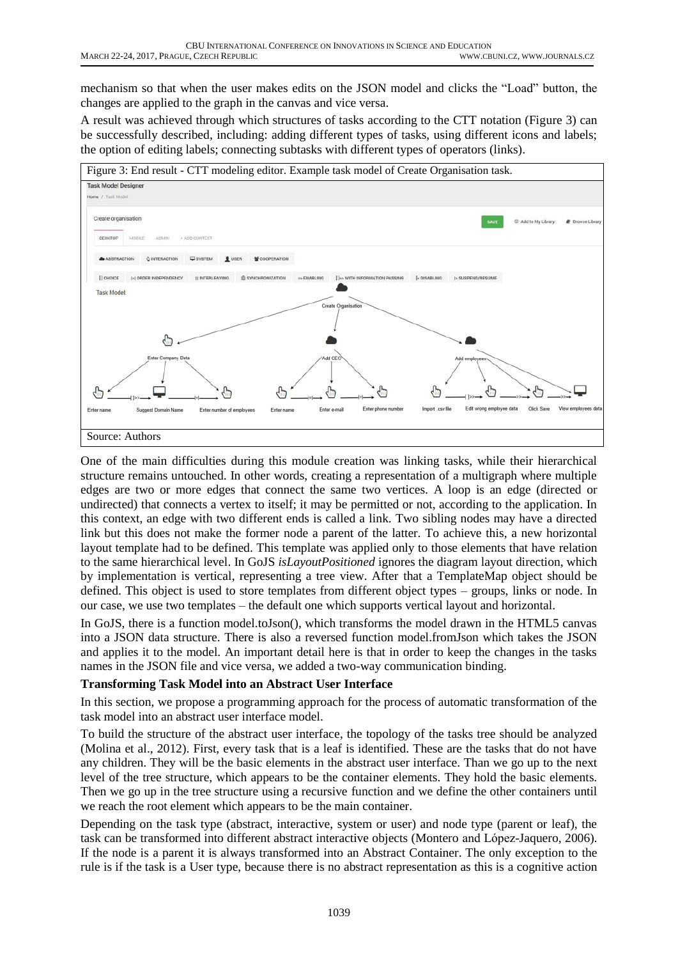mechanism so that when the user makes edits on the JSON model and clicks the "Load" button, the changes are applied to the graph in the canvas and vice versa.

A result was achieved through which structures of tasks according to the CTT notation (Figure 3) can be successfully described, including: adding different types of tasks, using different icons and labels; the option of editing labels; connecting subtasks with different types of operators (links).



One of the main difficulties during this module creation was linking tasks, while their hierarchical structure remains untouched. In other words, creating a representation of a multigraph where multiple edges are two or more edges that connect the same two vertices. A loop is an edge (directed or undirected) that connects a vertex to itself; it may be permitted or not, according to the application. In this context, an edge with two different ends is called a link. Two sibling nodes may have a directed link but this does not make the former node a parent of the latter. To achieve this, a new horizontal layout template had to be defined. This template was applied only to those elements that have relation to the same hierarchical level. In GoJS *isLayoutPositioned* ignores the diagram layout direction, which by implementation is vertical, representing a tree view. After that a TemplateMap object should be defined. This object is used to store templates from different object types – groups, links or node. In our case, we use two templates – the default one which supports vertical layout and horizontal.

In GoJS, there is a function model.toJson(), which transforms the model drawn in the HTML5 canvas into a JSON data structure. There is also a reversed function model.fromJson which takes the JSON and applies it to the model. An important detail here is that in order to keep the changes in the tasks names in the JSON file and vice versa, we added a two-way communication binding.

#### **Transforming Task Model into an Abstract User Interface**

In this section, we propose a programming approach for the process of automatic transformation of the task model into an abstract user interface model.

To build the structure of the abstract user interface, the topology of the tasks tree should be analyzed (Molina et al., 2012). First, every task that is a leaf is identified. These are the tasks that do not have any children. They will be the basic elements in the abstract user interface. Than we go up to the next level of the tree structure, which appears to be the container elements. They hold the basic elements. Then we go up in the tree structure using a recursive function and we define the other containers until we reach the root element which appears to be the main container.

Depending on the task type (abstract, interactive, system or user) and node type (parent or leaf), the task can be transformed into different abstract interactive objects (Montero and López-Jaquero, 2006). If the node is a parent it is always transformed into an Abstract Container. The only exception to the rule is if the task is a User type, because there is no abstract representation as this is a cognitive action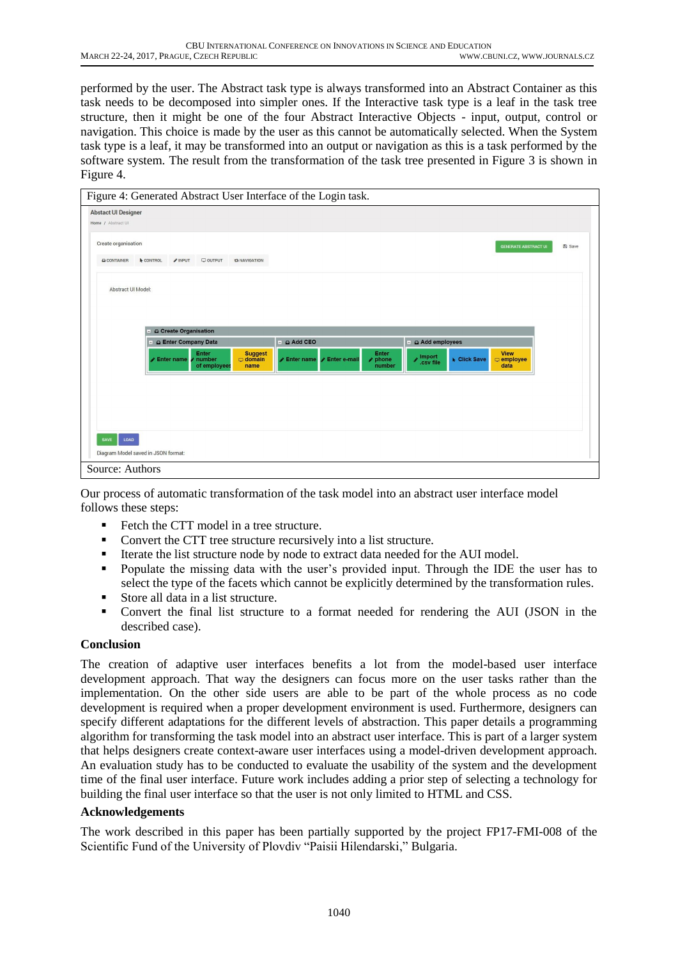performed by the user. The Abstract task type is always transformed into an Abstract Container as this task needs to be decomposed into simpler ones. If the Interactive task type is a leaf in the task tree structure, then it might be one of the four Abstract Interactive Objects - input, output, control or navigation. This choice is made by the user as this cannot be automatically selected. When the System task type is a leaf, it may be transformed into an output or navigation as this is a task performed by the software system. The result from the transformation of the task tree presented in Figure 3 is shown in Figure 4.

| Create organisation<br><b>GENERATE ABSTRACT UI</b><br>Q CONTAINER<br><b>CONTROL</b><br>$\mathscr{P}$ INPUT<br>$\Box$ OUTPUT<br><b>t3 NAVIGATION</b><br>Abstract UI Model:<br>G Create Organisation<br>Add CEO<br>Add employees<br>- Q Enter Company Data<br>그<br>$\overline{a}$<br><b>Suggest</b><br><b>View</b><br>Enter<br>Enter<br>mport<br>csv file<br>Enter e-mail<br>Click Save<br>$\triangle$ Enter name<br>number<br>$\rho$ phone<br>$\Box$ domain<br>$\blacktriangleright$ Enter name<br>$\Box$ employee<br>of employees<br>number<br>data<br>name | <b>Abstact UI Designer</b><br>Home / Abstract UI |  |  |  |  |               |
|-------------------------------------------------------------------------------------------------------------------------------------------------------------------------------------------------------------------------------------------------------------------------------------------------------------------------------------------------------------------------------------------------------------------------------------------------------------------------------------------------------------------------------------------------------------|--------------------------------------------------|--|--|--|--|---------------|
|                                                                                                                                                                                                                                                                                                                                                                                                                                                                                                                                                             |                                                  |  |  |  |  | <b>图 Save</b> |
|                                                                                                                                                                                                                                                                                                                                                                                                                                                                                                                                                             |                                                  |  |  |  |  |               |
|                                                                                                                                                                                                                                                                                                                                                                                                                                                                                                                                                             |                                                  |  |  |  |  |               |
|                                                                                                                                                                                                                                                                                                                                                                                                                                                                                                                                                             |                                                  |  |  |  |  |               |
|                                                                                                                                                                                                                                                                                                                                                                                                                                                                                                                                                             |                                                  |  |  |  |  |               |
|                                                                                                                                                                                                                                                                                                                                                                                                                                                                                                                                                             |                                                  |  |  |  |  |               |
|                                                                                                                                                                                                                                                                                                                                                                                                                                                                                                                                                             |                                                  |  |  |  |  |               |
|                                                                                                                                                                                                                                                                                                                                                                                                                                                                                                                                                             |                                                  |  |  |  |  |               |
|                                                                                                                                                                                                                                                                                                                                                                                                                                                                                                                                                             |                                                  |  |  |  |  |               |
|                                                                                                                                                                                                                                                                                                                                                                                                                                                                                                                                                             |                                                  |  |  |  |  |               |
|                                                                                                                                                                                                                                                                                                                                                                                                                                                                                                                                                             |                                                  |  |  |  |  |               |
|                                                                                                                                                                                                                                                                                                                                                                                                                                                                                                                                                             |                                                  |  |  |  |  |               |
|                                                                                                                                                                                                                                                                                                                                                                                                                                                                                                                                                             |                                                  |  |  |  |  |               |
|                                                                                                                                                                                                                                                                                                                                                                                                                                                                                                                                                             |                                                  |  |  |  |  |               |
| LOAD<br>SAVE                                                                                                                                                                                                                                                                                                                                                                                                                                                                                                                                                |                                                  |  |  |  |  |               |
|                                                                                                                                                                                                                                                                                                                                                                                                                                                                                                                                                             |                                                  |  |  |  |  |               |

Our process of automatic transformation of the task model into an abstract user interface model follows these steps:

- Fetch the CTT model in a tree structure.
- Convert the CTT tree structure recursively into a list structure.
- Iterate the list structure node by node to extract data needed for the AUI model.
- **•** Populate the missing data with the user's provided input. Through the IDE the user has to select the type of the facets which cannot be explicitly determined by the transformation rules.
- Store all data in a list structure.
- Convert the final list structure to a format needed for rendering the AUI (JSON in the described case).

### **Conclusion**

The creation of adaptive user interfaces benefits a lot from the model-based user interface development approach. That way the designers can focus more on the user tasks rather than the implementation. On the other side users are able to be part of the whole process as no code development is required when a proper development environment is used. Furthermore, designers can specify different adaptations for the different levels of abstraction. This paper details a programming algorithm for transforming the task model into an abstract user interface. This is part of a larger system that helps designers create context-aware user interfaces using a model-driven development approach. An evaluation study has to be conducted to evaluate the usability of the system and the development time of the final user interface. Future work includes adding a prior step of selecting a technology for building the final user interface so that the user is not only limited to HTML and CSS.

#### **Acknowledgements**

The work described in this paper has been partially supported by the project FP17-FMI-008 of the Scientific Fund of the University of Plovdiv "Paisii Hilendarski," Bulgaria.